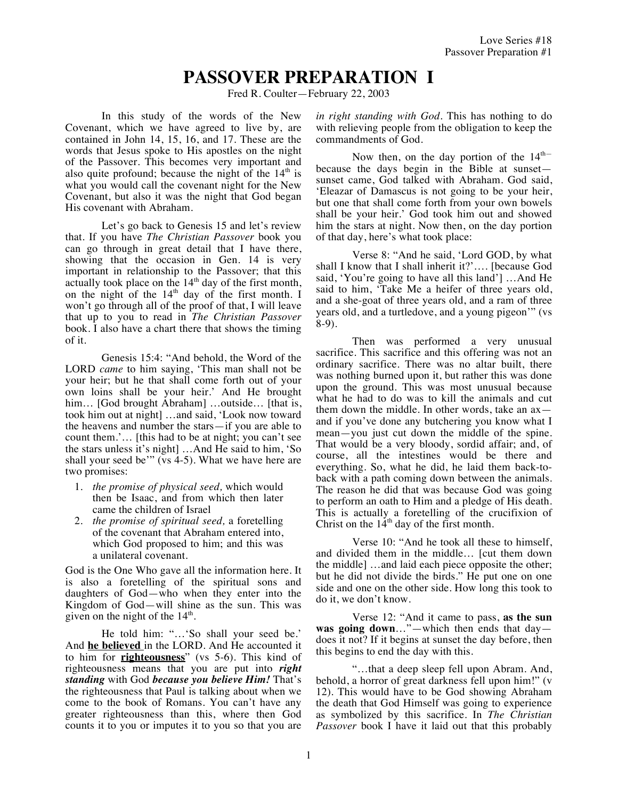## **PASSOVER PREPARATION I**

Fred R. Coulter—February 22, 2003

In this study of the words of the New Covenant, which we have agreed to live by, are contained in John 14, 15, 16, and 17. These are the words that Jesus spoke to His apostles on the night of the Passover. This becomes very important and also quite profound; because the night of the  $14<sup>th</sup>$  is what you would call the covenant night for the New Covenant, but also it was the night that God began His covenant with Abraham.

Let's go back to Genesis 15 and let's review that. If you have *The Christian Passover* book you can go through in great detail that I have there, showing that the occasion in Gen. 14 is very important in relationship to the Passover; that this actually took place on the  $14<sup>th</sup>$  day of the first month, on the night of the  $14<sup>th</sup>$  day of the first month. I won't go through all of the proof of that, I will leave that up to you to read in *The Christian Passover* book. I also have a chart there that shows the timing of it.

Genesis 15:4: "And behold, the Word of the LORD *came* to him saying, 'This man shall not be your heir; but he that shall come forth out of your own loins shall be your heir.' And He brought him... [God brought Abraham] ...outside... [that is, took him out at night] …and said, 'Look now toward the heavens and number the stars—if you are able to count them.'… [this had to be at night; you can't see the stars unless it's night] …And He said to him, 'So shall your seed be'" (vs 4-5). What we have here are two promises:

- 1. *the promise of physical seed,* which would then be Isaac, and from which then later came the children of Israel
- 2. *the promise of spiritual seed,* a foretelling of the covenant that Abraham entered into, which God proposed to him; and this was a unilateral covenant.

God is the One Who gave all the information here. It is also a foretelling of the spiritual sons and daughters of God—who when they enter into the Kingdom of God—will shine as the sun. This was given on the night of the  $14<sup>th</sup>$ .

He told him: "…'So shall your seed be.' And **he believed** in the LORD. And He accounted it to him for **righteousness**" (vs 5-6). This kind of righteousness means that you are put into *right standing* with God *because you believe Him!* That's the righteousness that Paul is talking about when we come to the book of Romans. You can't have any greater righteousness than this, where then God counts it to you or imputes it to you so that you are *in right standing with God*. This has nothing to do with relieving people from the obligation to keep the commandments of God.

Now then, on the day portion of the  $14<sup>th</sup>$ because the days begin in the Bible at sunset sunset came, God talked with Abraham. God said, 'Eleazar of Damascus is not going to be your heir, but one that shall come forth from your own bowels shall be your heir.' God took him out and showed him the stars at night. Now then, on the day portion of that day, here's what took place:

Verse 8: "And he said, 'Lord GOD, by what shall I know that I shall inherit it?'…. [because God said, 'You're going to have all this land'] …And He said to him, 'Take Me a heifer of three years old, and a she-goat of three years old, and a ram of three years old, and a turtledove, and a young pigeon'" (vs 8-9).

Then was performed a very unusual sacrifice. This sacrifice and this offering was not an ordinary sacrifice. There was no altar built, there was nothing burned upon it, but rather this was done upon the ground. This was most unusual because what he had to do was to kill the animals and cut them down the middle. In other words, take an ax and if you've done any butchering you know what I mean—you just cut down the middle of the spine. That would be a very bloody, sordid affair; and, of course, all the intestines would be there and everything. So, what he did, he laid them back-toback with a path coming down between the animals. The reason he did that was because God was going to perform an oath to Him and a pledge of His death. This is actually a foretelling of the crucifixion of Christ on the  $14<sup>th</sup>$  day of the first month.

Verse 10: "And he took all these to himself, and divided them in the middle… [cut them down the middle] …and laid each piece opposite the other; but he did not divide the birds." He put one on one side and one on the other side. How long this took to do it, we don't know.

Verse 12: "And it came to pass, **as the sun was going down**…"—which then ends that day does it not? If it begins at sunset the day before, then this begins to end the day with this.

"…that a deep sleep fell upon Abram. And, behold, a horror of great darkness fell upon him!" (v 12). This would have to be God showing Abraham the death that God Himself was going to experience as symbolized by this sacrifice. In *The Christian Passover* book I have it laid out that this probably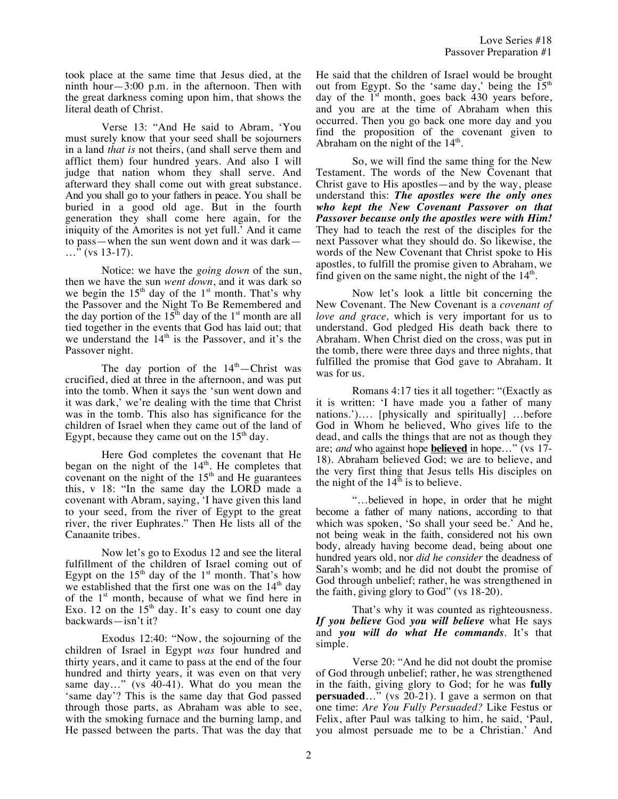took place at the same time that Jesus died, at the ninth hour $-3:00$  p.m. in the afternoon. Then with the great darkness coming upon him, that shows the literal death of Christ.

Verse 13: "And He said to Abram, 'You must surely know that your seed shall be sojourners in a land *that is* not theirs, (and shall serve them and afflict them) four hundred years. And also I will judge that nation whom they shall serve. And afterward they shall come out with great substance. And you shall go to your fathers in peace. You shall be buried in a good old age. But in the fourth generation they shall come here again, for the iniquity of the Amorites is not yet full.' And it came to pass—when the sun went down and it was dark— …" (vs 13-17).

Notice: we have the *going down* of the sun, then we have the sun *went down*, and it was dark so we begin the  $15<sup>th</sup>$  day of the  $1<sup>st</sup>$  month. That's why the Passover and the Night To Be Remembered and the day portion of the  $15<sup>th</sup>$  day of the  $1<sup>st</sup>$  month are all tied together in the events that God has laid out; that we understand the  $14<sup>th</sup>$  is the Passover, and it's the Passover night.

The day portion of the  $14<sup>th</sup>$ -Christ was crucified, died at three in the afternoon, and was put into the tomb. When it says the 'sun went down and it was dark,' we're dealing with the time that Christ was in the tomb. This also has significance for the children of Israel when they came out of the land of Egypt, because they came out on the  $15<sup>th</sup>$  day.

Here God completes the covenant that He began on the night of the  $14<sup>th</sup>$ . He completes that covenant on the night of the  $15<sup>th</sup>$  and He guarantees this, v 18: "In the same day the LORD made a covenant with Abram, saying, 'I have given this land to your seed, from the river of Egypt to the great river, the river Euphrates." Then He lists all of the Canaanite tribes.

Now let's go to Exodus 12 and see the literal fulfillment of the children of Israel coming out of Egypt on the  $15<sup>th</sup>$  day of the  $1<sup>st</sup>$  month. That's how we established that the first one was on the  $14<sup>th</sup>$  day of the  $1<sup>st</sup>$  month, because of what we find here in Exo. 12 on the  $15<sup>th</sup>$  day. It's easy to count one day backwards—isn't it?

Exodus 12:40: "Now, the sojourning of the children of Israel in Egypt *was* four hundred and thirty years, and it came to pass at the end of the four hundred and thirty years, it was even on that very same day…" (vs 40-41). What do you mean the 'same day'? This is the same day that God passed through those parts, as Abraham was able to see, with the smoking furnace and the burning lamp, and He passed between the parts. That was the day that He said that the children of Israel would be brought out from Egypt. So the 'same day,' being the  $15<sup>th</sup>$ day of the  $1<sup>st</sup>$  month, goes back 430 years before, and you are at the time of Abraham when this occurred. Then you go back one more day and you find the proposition of the covenant given to Abraham on the night of the  $14<sup>th</sup>$ .

So, we will find the same thing for the New Testament. The words of the New Covenant that Christ gave to His apostles—and by the way, please understand this: *The apostles were the only ones who kept the New Covenant Passover on that Passover because only the apostles were with Him!* They had to teach the rest of the disciples for the next Passover what they should do. So likewise, the words of the New Covenant that Christ spoke to His apostles, to fulfill the promise given to Abraham, we find given on the same night, the night of the  $14<sup>th</sup>$ .

Now let's look a little bit concerning the New Covenant. The New Covenant is a *covenant of love and grace,* which is very important for us to understand. God pledged His death back there to Abraham. When Christ died on the cross, was put in the tomb, there were three days and three nights, that fulfilled the promise that God gave to Abraham. It was for us.

Romans 4:17 ties it all together: "(Exactly as it is written: 'I have made you a father of many nations.')…. [physically and spiritually] …before God in Whom he believed, Who gives life to the dead, and calls the things that are not as though they are; *and* who against hope **believed** in hope…" (vs 17- 18). Abraham believed God; we are to believe, and the very first thing that Jesus tells His disciples on the night of the  $14<sup>th</sup>$  is to believe.

"…believed in hope, in order that he might become a father of many nations, according to that which was spoken, 'So shall your seed be.' And he, not being weak in the faith, considered not his own body, already having become dead, being about one hundred years old, nor *did he consider* the deadness of Sarah's womb; and he did not doubt the promise of God through unbelief; rather, he was strengthened in the faith, giving glory to God" (vs 18-20).

That's why it was counted as righteousness. *If you believe* God *you will believe* what He says and *you will do what He commands*. It's that simple.

Verse 20: "And he did not doubt the promise of God through unbelief; rather, he was strengthened in the faith, giving glory to God; for he was **fully persuaded…**" (vs 20-21). I gave a sermon on that one time: *Are You Fully Persuaded?* Like Festus or Felix, after Paul was talking to him, he said, 'Paul, you almost persuade me to be a Christian.' And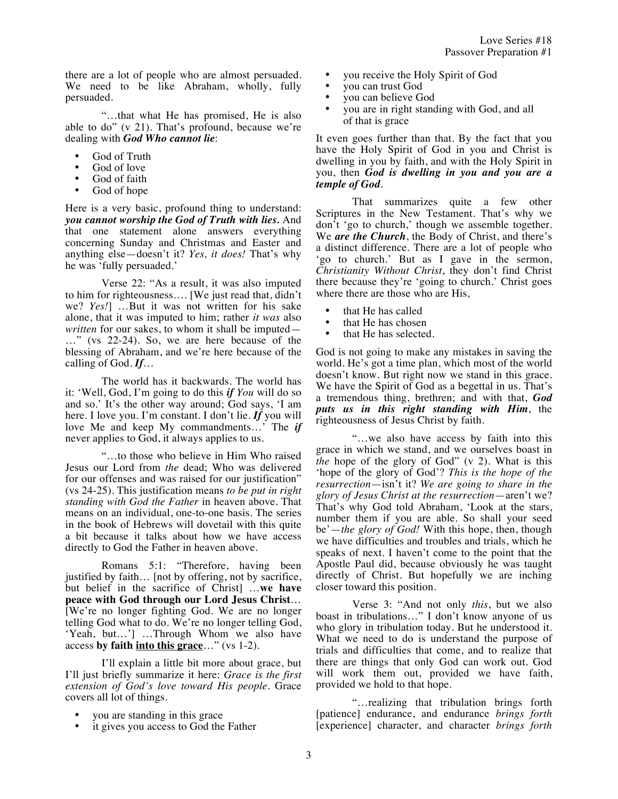there are a lot of people who are almost persuaded. We need to be like Abraham, wholly, fully persuaded.

"…that what He has promised, He is also able to do" (v 21). That's profound, because we're dealing with *God Who cannot lie*:

- God of Truth
- God of love
- God of faith
- God of hope

Here is a very basic, profound thing to understand: *you cannot worship the God of Truth with lies.* And that one statement alone answers everything concerning Sunday and Christmas and Easter and anything else—doesn't it? *Yes, it does!* That's why he was 'fully persuaded.'

Verse 22: "As a result, it was also imputed to him for righteousness…. [We just read that, didn't we? *Yes!*] …But it was not written for his sake alone, that it was imputed to him; rather *it was* also *written* for our sakes, to whom it shall be imputed— …" (vs 22-24). So, we are here because of the blessing of Abraham, and we're here because of the calling of God. *If*…

The world has it backwards. The world has it: 'Well, God, I'm going to do this *if You* will do so and so.' It's the other way around; God says, 'I am here. I love you. I'm constant. I don't lie. *If* you will love Me and keep My commandments…' The *if* never applies to God, it always applies to us.

"…to those who believe in Him Who raised Jesus our Lord from *the* dead; Who was delivered for our offenses and was raised for our justification" (vs 24-25). This justification means *to be put in right standing with God the Father* in heaven above. That means on an individual, one-to-one basis. The series in the book of Hebrews will dovetail with this quite a bit because it talks about how we have access directly to God the Father in heaven above.

Romans 5:1: "Therefore, having been justified by faith... [not by offering, not by sacrifice, but belief in the sacrifice of Christ] …**we have peace with God through our Lord Jesus Christ**… [We're no longer fighting God. We are no longer telling God what to do. We're no longer telling God, 'Yeah, but…'] …Through Whom we also have access **by faith into this grace**…" (vs 1-2).

I'll explain a little bit more about grace, but I'll just briefly summarize it here: *Grace is the first extension of God's love toward His people.* Grace covers all lot of things.

- you are standing in this grace
- it gives you access to God the Father
- you receive the Holy Spirit of God
- you can trust God
- you can believe God
- you are in right standing with God, and all of that is grace

It even goes further than that. By the fact that you have the Holy Spirit of God in you and Christ is dwelling in you by faith, and with the Holy Spirit in you, then *God is dwelling in you and you are a temple of God*.

That summarizes quite a few other Scriptures in the New Testament. That's why we don't 'go to church,' though we assemble together. We *are the Church*, the Body of Christ, and there's a distinct difference. There are a lot of people who 'go to church.' But as I gave in the sermon, *Christianity Without Christ*, they don't find Christ there because they're 'going to church.' Christ goes where there are those who are His,

- that He has called
- that He has chosen<br>• that He has selected
- that He has selected.

God is not going to make any mistakes in saving the world. He's got a time plan, which most of the world doesn't know. But right now we stand in this grace. We have the Spirit of God as a begettal in us. That's a tremendous thing, brethren; and with that, *God puts us in this right standing with Him*, the righteousness of Jesus Christ by faith.

"…we also have access by faith into this grace in which we stand, and we ourselves boast in *the* hope of the glory of God" (v 2). What is this 'hope of the glory of God'? *This is the hope of the resurrection*—isn't it? *We are going to share in the glory of Jesus Christ at the resurrection*—aren't we? That's why God told Abraham, 'Look at the stars, number them if you are able. So shall your seed be'—*the glory of God!* With this hope, then, though we have difficulties and troubles and trials, which he speaks of next. I haven't come to the point that the Apostle Paul did, because obviously he was taught directly of Christ. But hopefully we are inching closer toward this position.

Verse 3: "And not only *this*, but we also boast in tribulations…" I don't know anyone of us who glory in tribulation today. But he understood it. What we need to do is understand the purpose of trials and difficulties that come, and to realize that there are things that only God can work out. God will work them out, provided we have faith, provided we hold to that hope.

"…realizing that tribulation brings forth [patience] endurance, and endurance *brings forth* [experience] character, and character *brings forth*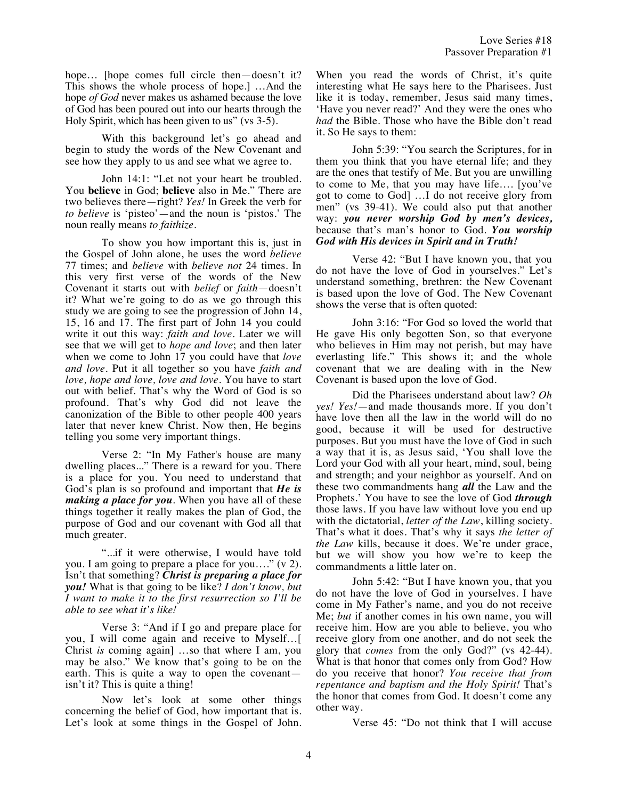hope... [hope comes full circle then—doesn't it? This shows the whole process of hope.] …And the hope *of God* never makes us ashamed because the love of God has been poured out into our hearts through the Holy Spirit, which has been given to us" (vs 3-5).

With this background let's go ahead and begin to study the words of the New Covenant and see how they apply to us and see what we agree to.

John 14:1: "Let not your heart be troubled. You **believe** in God; **believe** also in Me." There are two believes there—right? *Yes!* In Greek the verb for *to believe* is 'pisteo'—and the noun is 'pistos.' The noun really means *to faithize*.

To show you how important this is, just in the Gospel of John alone, he uses the word *believe* 77 times; and *believe* with *believe not* 24 times. In this very first verse of the words of the New Covenant it starts out with *belief* or *faith*—doesn't it? What we're going to do as we go through this study we are going to see the progression of John 14, 15, 16 and 17. The first part of John 14 you could write it out this way: *faith and love*. Later we will see that we will get to *hope and love*; and then later when we come to John 17 you could have that *love and love*. Put it all together so you have *faith and love, hope and love, love and love*. You have to start out with belief. That's why the Word of God is so profound. That's why God did not leave the canonization of the Bible to other people 400 years later that never knew Christ. Now then, He begins telling you some very important things.

Verse 2: "In My Father's house are many dwelling places..." There is a reward for you. There is a place for you. You need to understand that God's plan is so profound and important that *He is making a place for you*. When you have all of these things together it really makes the plan of God, the purpose of God and our covenant with God all that much greater.

"...if it were otherwise, I would have told you. I am going to prepare a place for you…." (v 2). Isn't that something? *Christ is preparing a place for you!* What is that going to be like? *I don't know, but I want to make it to the first resurrection so I'll be able to see what it's like!*

Verse 3: "And if I go and prepare place for you, I will come again and receive to Myself…[ Christ *is* coming again] …so that where I am, you may be also." We know that's going to be on the earth. This is quite a way to open the covenant isn't it? This is quite a thing!

Now let's look at some other things concerning the belief of God, how important that is. Let's look at some things in the Gospel of John. When you read the words of Christ, it's quite interesting what He says here to the Pharisees. Just like it is today, remember, Jesus said many times, 'Have you never read?' And they were the ones who *had* the Bible. Those who have the Bible don't read it. So He says to them:

John 5:39: "You search the Scriptures, for in them you think that you have eternal life; and they are the ones that testify of Me. But you are unwilling to come to Me, that you may have life…. [you've got to come to God] …I do not receive glory from men" (vs 39-41). We could also put that another way: *you never worship God by men's devices,* because that's man's honor to God. *You worship God with His devices in Spirit and in Truth!*

Verse 42: "But I have known you, that you do not have the love of God in yourselves." Let's understand something, brethren: the New Covenant is based upon the love of God. The New Covenant shows the verse that is often quoted:

John 3:16: "For God so loved the world that He gave His only begotten Son, so that everyone who believes in Him may not perish, but may have everlasting life." This shows it; and the whole covenant that we are dealing with in the New Covenant is based upon the love of God.

Did the Pharisees understand about law? *Oh yes! Yes!*—and made thousands more. If you don't have love then all the law in the world will do no good, because it will be used for destructive purposes. But you must have the love of God in such a way that it is, as Jesus said, 'You shall love the Lord your God with all your heart, mind, soul, being and strength; and your neighbor as yourself. And on these two commandments hang *all* the Law and the Prophets.' You have to see the love of God *through* those laws. If you have law without love you end up with the dictatorial, *letter of the Law*, killing society. That's what it does. That's why it says *the letter of the Law* kills, because it does. We're under grace, but we will show you how we're to keep the commandments a little later on.

John 5:42: "But I have known you, that you do not have the love of God in yourselves. I have come in My Father's name, and you do not receive Me; *but* if another comes in his own name, you will receive him. How are you able to believe, you who receive glory from one another, and do not seek the glory that *comes* from the only God?" (vs 42-44). What is that honor that comes only from God? How do you receive that honor? *You receive that from repentance and baptism and the Holy Spirit!* That's the honor that comes from God. It doesn't come any other way.

Verse 45: "Do not think that I will accuse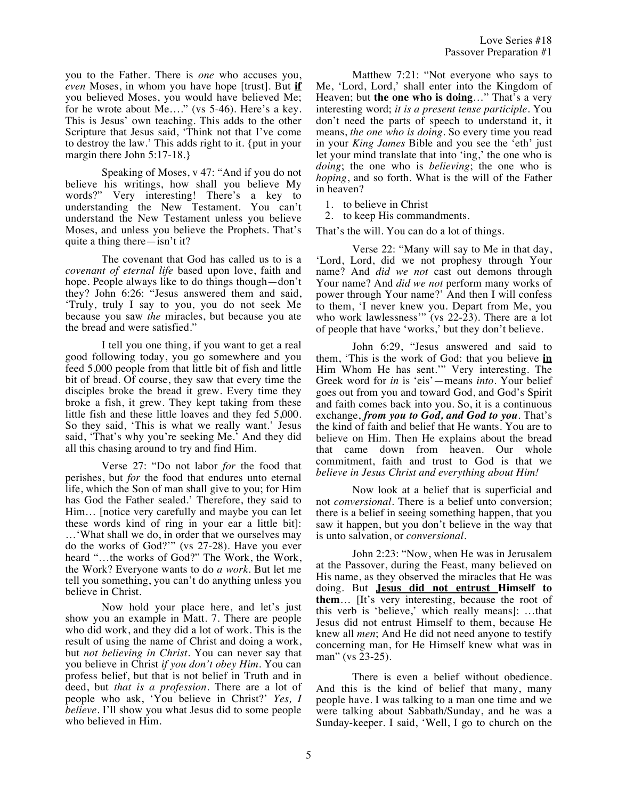you to the Father. There is *one* who accuses you, *even* Moses, in whom you have hope [trust]. But **if** you believed Moses, you would have believed Me; for he wrote about Me…." (vs 5-46). Here's a key. This is Jesus' own teaching. This adds to the other Scripture that Jesus said, 'Think not that I've come to destroy the law.' This adds right to it. {put in your margin there John 5:17-18.}

Speaking of Moses, v 47: "And if you do not believe his writings, how shall you believe My words?" Very interesting! There's a key to understanding the New Testament. You can't understand the New Testament unless you believe Moses, and unless you believe the Prophets. That's quite a thing there—isn't it?

The covenant that God has called us to is a *covenant of eternal life* based upon love, faith and hope. People always like to do things though—don't they? John 6:26: "Jesus answered them and said, 'Truly, truly I say to you, you do not seek Me because you saw *the* miracles, but because you ate the bread and were satisfied."

I tell you one thing, if you want to get a real good following today, you go somewhere and you feed 5,000 people from that little bit of fish and little bit of bread. Of course, they saw that every time the disciples broke the bread it grew. Every time they broke a fish, it grew. They kept taking from these little fish and these little loaves and they fed 5,000. So they said, 'This is what we really want.' Jesus said, 'That's why you're seeking Me.' And they did all this chasing around to try and find Him.

Verse 27: "Do not labor *for* the food that perishes, but *for* the food that endures unto eternal life, which the Son of man shall give to you; for Him has God the Father sealed.' Therefore, they said to Him… [notice very carefully and maybe you can let these words kind of ring in your ear a little bit]: …'What shall we do, in order that we ourselves may do the works of God?'" (vs 27-28). Have you ever heard "…the works of God?" The Work, the Work, the Work? Everyone wants to do *a work*. But let me tell you something, you can't do anything unless you believe in Christ.

Now hold your place here, and let's just show you an example in Matt. 7. There are people who did work, and they did a lot of work. This is the result of using the name of Christ and doing a work, but *not believing in Christ*. You can never say that you believe in Christ *if you don't obey Him.* You can profess belief, but that is not belief in Truth and in deed, but *that is a profession*. There are a lot of people who ask, 'You believe in Christ?' *Yes, I believe.* I'll show you what Jesus did to some people who believed in Him.

Matthew 7:21: "Not everyone who says to Me, 'Lord, Lord,' shall enter into the Kingdom of Heaven; but **the one who is doing**…" That's a very interesting word; *it is a present tense participle*. You don't need the parts of speech to understand it, it means, *the one who is doing*. So every time you read in your *King James* Bible and you see the 'eth' just let your mind translate that into 'ing,' the one who is *doing*; the one who is *believing*; the one who is *hoping*, and so forth. What is the will of the Father in heaven?

1. to believe in Christ

2. to keep His commandments.

That's the will. You can do a lot of things.

Verse 22: "Many will say to Me in that day, 'Lord, Lord, did we not prophesy through Your name? And *did we not* cast out demons through Your name? And *did we not* perform many works of power through Your name?' And then I will confess to them, 'I never knew you. Depart from Me, you who work lawlessness" (vs  $22-23$ ). There are a lot of people that have 'works,' but they don't believe.

John 6:29, "Jesus answered and said to them, 'This is the work of God: that you believe **in** Him Whom He has sent.'" Very interesting. The Greek word for *in* is 'eis'—means *into*. Your belief goes out from you and toward God, and God's Spirit and faith comes back into you. So, it is a continuous exchange, *from you to God, and God to you*. That's the kind of faith and belief that He wants. You are to believe on Him. Then He explains about the bread that came down from heaven. Our whole commitment, faith and trust to God is that we *believe in Jesus Christ and everything about Him!*

Now look at a belief that is superficial and not *conversional*. There is a belief unto conversion; there is a belief in seeing something happen, that you saw it happen, but you don't believe in the way that is unto salvation, or *conversional*.

John 2:23: "Now, when He was in Jerusalem at the Passover, during the Feast, many believed on His name, as they observed the miracles that He was doing. But **Jesus did not entrust Himself to them**… [It's very interesting, because the root of this verb is 'believe,' which really means]: …that Jesus did not entrust Himself to them, because He knew all *men*; And He did not need anyone to testify concerning man, for He Himself knew what was in man" (vs 23-25).

There is even a belief without obedience. And this is the kind of belief that many, many people have. I was talking to a man one time and we were talking about Sabbath/Sunday, and he was a Sunday-keeper. I said, 'Well, I go to church on the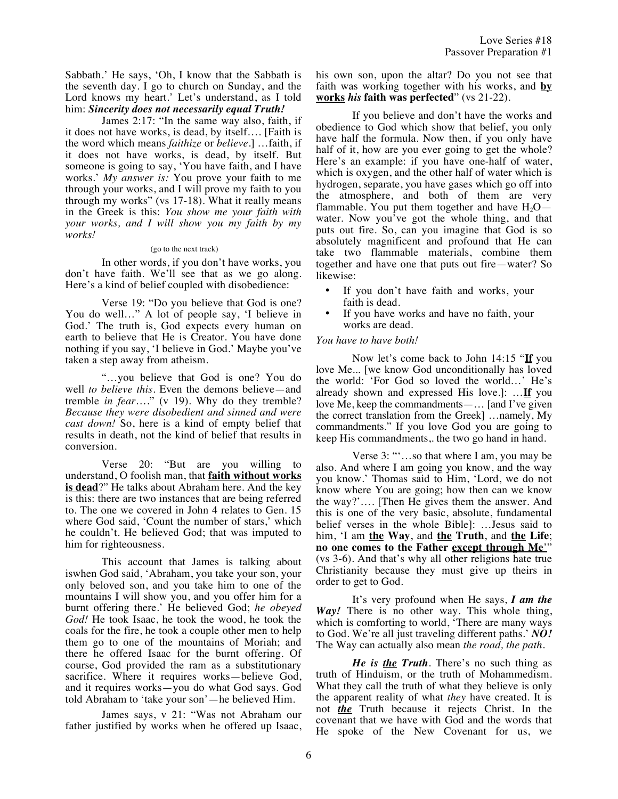Sabbath.' He says, 'Oh, I know that the Sabbath is the seventh day. I go to church on Sunday, and the Lord knows my heart.' Let's understand, as I told him: *Sincerity does not necessarily equal Truth!* 

James 2:17: "In the same way also, faith, if it does not have works, is dead, by itself…. [Faith is the word which means *faithize* or *believe*.] …faith, if it does not have works, is dead, by itself. But someone is going to say, 'You have faith, and I have works.' *My answer is:* You prove your faith to me through your works, and I will prove my faith to you through my works" (vs 17-18). What it really means in the Greek is this: *You show me your faith with your works, and I will show you my faith by my works!*

## (go to the next track)

In other words, if you don't have works, you don't have faith. We'll see that as we go along. Here's a kind of belief coupled with disobedience:

Verse 19: "Do you believe that God is one? You do well…" A lot of people say, 'I believe in God.' The truth is, God expects every human on earth to believe that He is Creator. You have done nothing if you say, 'I believe in God.' Maybe you've taken a step away from atheism.

"…you believe that God is one? You do well *to believe this*. Even the demons believe—and tremble *in fear*…." (v 19). Why do they tremble? *Because they were disobedient and sinned and were cast down!* So, here is a kind of empty belief that results in death, not the kind of belief that results in conversion.

Verse 20: "But are you willing to understand, O foolish man, that **faith without works is dead**?" He talks about Abraham here. And the key is this: there are two instances that are being referred to. The one we covered in John 4 relates to Gen. 15 where God said, 'Count the number of stars,' which he couldn't. He believed God; that was imputed to him for righteousness.

This account that James is talking about iswhen God said, 'Abraham, you take your son, your only beloved son, and you take him to one of the mountains I will show you, and you offer him for a burnt offering there.' He believed God; *he obeyed God!* He took Isaac, he took the wood, he took the coals for the fire, he took a couple other men to help them go to one of the mountains of Moriah; and there he offered Isaac for the burnt offering. Of course, God provided the ram as a substitutionary sacrifice. Where it requires works—believe God, and it requires works—you do what God says. God told Abraham to 'take your son'—he believed Him.

James says, v 21: "Was not Abraham our father justified by works when he offered up Isaac, his own son, upon the altar? Do you not see that faith was working together with his works, and **by works** *his* **faith was perfected**" (vs 21-22).

If you believe and don't have the works and obedience to God which show that belief, you only have half the formula. Now then, if you only have half of it, how are you ever going to get the whole? Here's an example: if you have one-half of water, which is oxygen, and the other half of water which is hydrogen, separate, you have gases which go off into the atmosphere, and both of them are very flammable. You put them together and have  $H_2O$  water. Now you've got the whole thing, and that puts out fire. So, can you imagine that God is so absolutely magnificent and profound that He can take two flammable materials, combine them together and have one that puts out fire—water? So likewise:

- If you don't have faith and works, your faith is dead.
- If you have works and have no faith, your works are dead.

## *You have to have both!*

Now let's come back to John 14:15 "**If** you love Me... [we know God unconditionally has loved the world: 'For God so loved the world…' He's already shown and expressed His love.]: …**If** you love Me, keep the commandments—… [and I've given the correct translation from the Greek] …namely, My commandments." If you love God you are going to keep His commandments,. the two go hand in hand.

Verse 3: "'…so that where I am, you may be also. And where I am going you know, and the way you know.' Thomas said to Him, 'Lord, we do not know where You are going; how then can we know the way?'…. [Then He gives them the answer. And this is one of the very basic, absolute, fundamental belief verses in the whole Bible]: …Jesus said to him, 'I am **the Way**, and **the Truth**, and **the Life**; **no one comes to the Father except through Me**'" (vs 3-6). And that's why all other religions hate true Christianity because they must give up theirs in order to get to God.

It's very profound when He says, *I am the Way!* There is no other way. This whole thing, which is comforting to world, 'There are many ways to God. We're all just traveling different paths.' *NO!* The Way can actually also mean *the road, the path*.

*He is the Truth*. There's no such thing as truth of Hinduism, or the truth of Mohammedism. What they call the truth of what they believe is only the apparent reality of what *they* have created. It is not *the* Truth because it rejects Christ. In the covenant that we have with God and the words that He spoke of the New Covenant for us, we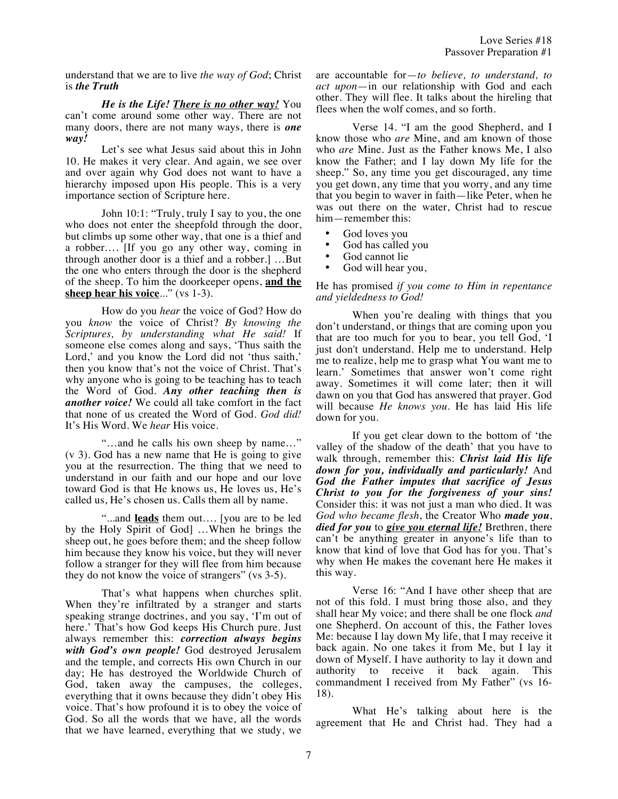understand that we are to live *the way of God*; Christ is *the Truth*

*He is the Life! There is no other way!* You can't come around some other way. There are not many doors, there are not many ways, there is *one way!*

Let's see what Jesus said about this in John 10. He makes it very clear. And again, we see over and over again why God does not want to have a hierarchy imposed upon His people. This is a very importance section of Scripture here.

John 10:1: "Truly, truly I say to you, the one who does not enter the sheepfold through the door, but climbs up some other way, that one is a thief and a robber…. [If you go any other way, coming in through another door is a thief and a robber.] …But the one who enters through the door is the shepherd of the sheep. To him the doorkeeper opens, **and the sheep hear his voice**..." (vs 1-3).

How do you *hear* the voice of God? How do you *know* the voice of Christ? *By knowing the Scriptures, by understanding what He said!* If someone else comes along and says, 'Thus saith the Lord,' and you know the Lord did not 'thus saith,' then you know that's not the voice of Christ. That's why anyone who is going to be teaching has to teach the Word of God. *Any other teaching then is another voice!* We could all take comfort in the fact that none of us created the Word of God. *God did!* It's His Word. We *hear* His voice.

"…and he calls his own sheep by name…" (v 3). God has a new name that He is going to give you at the resurrection. The thing that we need to understand in our faith and our hope and our love toward God is that He knows us, He loves us, He's called us, He's chosen us. Calls them all by name.

"...and **leads** them out…. [you are to be led by the Holy Spirit of God] …When he brings the sheep out, he goes before them; and the sheep follow him because they know his voice, but they will never follow a stranger for they will flee from him because they do not know the voice of strangers" (vs 3-5).

That's what happens when churches split. When they're infiltrated by a stranger and starts speaking strange doctrines, and you say, 'I'm out of here.' That's how God keeps His Church pure. Just always remember this: *correction always begins with God's own people!* God destroyed Jerusalem and the temple, and corrects His own Church in our day; He has destroyed the Worldwide Church of God, taken away the campuses, the colleges, everything that it owns because they didn't obey His voice. That's how profound it is to obey the voice of God. So all the words that we have, all the words that we have learned, everything that we study, we are accountable for—*to believe, to understand, to act upon*—in our relationship with God and each other. They will flee. It talks about the hireling that flees when the wolf comes, and so forth.

Verse 14. "I am the good Shepherd, and I know those who *are* Mine, and am known of those who *are* Mine. Just as the Father knows Me, I also know the Father; and I lay down My life for the sheep." So, any time you get discouraged, any time you get down, any time that you worry, and any time that you begin to waver in faith—like Peter, when he was out there on the water, Christ had to rescue him—remember this:

- God loves you
- God has called you<br>• God cannot lie
- God cannot lie
- God will hear you,

## He has promised *if you come to Him in repentance and yieldedness to God!*

When you're dealing with things that you don't understand, or things that are coming upon you that are too much for you to bear, you tell God, 'I just don't understand. Help me to understand. Help me to realize, help me to grasp what You want me to learn.' Sometimes that answer won't come right away. Sometimes it will come later; then it will dawn on you that God has answered that prayer. God will because *He knows you*. He has laid His life down for you.

If you get clear down to the bottom of 'the valley of the shadow of the death' that you have to walk through, remember this: *Christ laid His life down for you, individually and particularly!* And *God the Father imputes that sacrifice of Jesus Christ to you for the forgiveness of your sins!* Consider this: it was not just a man who died. It was *God who became flesh*, the Creator Who *made you*, *died for you* to *give you eternal life!* Brethren, there can't be anything greater in anyone's life than to know that kind of love that God has for you. That's why when He makes the covenant here He makes it this way.

Verse 16: "And I have other sheep that are not of this fold. I must bring those also, and they shall hear My voice; and there shall be one flock *and* one Shepherd. On account of this, the Father loves Me: because I lay down My life, that I may receive it back again. No one takes it from Me, but I lay it down of Myself. I have authority to lay it down and authority to receive it back again. This commandment I received from My Father" (vs 16- 18).

What He's talking about here is the agreement that He and Christ had. They had a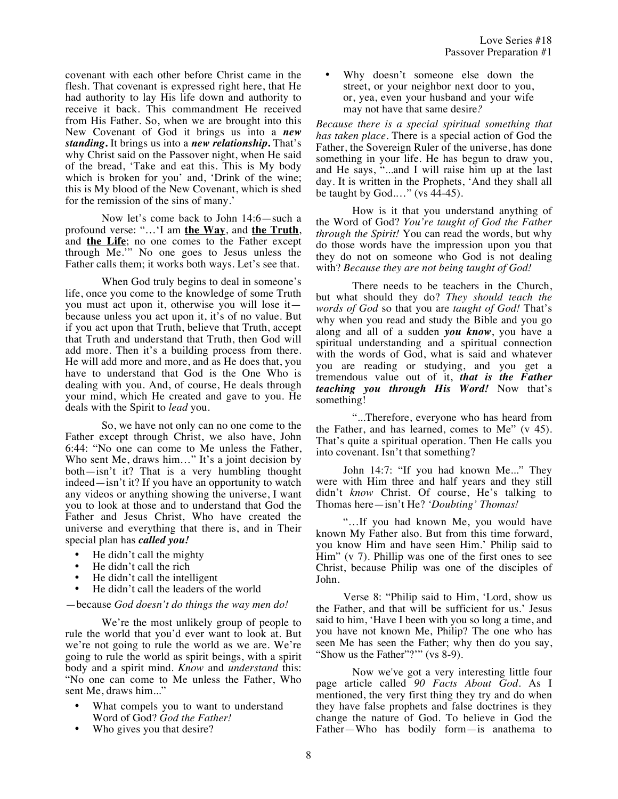covenant with each other before Christ came in the flesh. That covenant is expressed right here, that He had authority to lay His life down and authority to receive it back. This commandment He received from His Father. So, when we are brought into this New Covenant of God it brings us into a *new standing***.** It brings us into a *new relationship***.** That's why Christ said on the Passover night, when He said of the bread, 'Take and eat this. This is My body which is broken for you' and, 'Drink of the wine; this is My blood of the New Covenant, which is shed for the remission of the sins of many.'

Now let's come back to John 14:6—such a profound verse: "…'I am **the Way**, and **the Truth**, and **the Life**; no one comes to the Father except through Me.'" No one goes to Jesus unless the Father calls them; it works both ways. Let's see that.

When God truly begins to deal in someone's life, once you come to the knowledge of some Truth you must act upon it, otherwise you will lose it because unless you act upon it, it's of no value. But if you act upon that Truth, believe that Truth, accept that Truth and understand that Truth, then God will add more. Then it's a building process from there. He will add more and more, and as He does that, you have to understand that God is the One Who is dealing with you. And, of course, He deals through your mind, which He created and gave to you. He deals with the Spirit to *lead* you.

So, we have not only can no one come to the Father except through Christ, we also have, John 6:44: "No one can come to Me unless the Father, Who sent Me, draws him..." It's a joint decision by both—isn't it? That is a very humbling thought indeed—isn't it? If you have an opportunity to watch any videos or anything showing the universe, I want you to look at those and to understand that God the Father and Jesus Christ, Who have created the universe and everything that there is, and in Their special plan has *called you!*

- He didn't call the mighty
- He didn't call the rich
- He didn't call the intelligent
- He didn't call the leaders of the world

—because *God doesn't do things the way men do!*

We're the most unlikely group of people to rule the world that you'd ever want to look at. But we're not going to rule the world as we are. We're going to rule the world as spirit beings, with a spirit body and a spirit mind. *Know* and *understand* this: "No one can come to Me unless the Father, Who sent Me, draws him..."

- What compels you to want to understand Word of God? *God the Father!*
- Who gives you that desire?

Why doesn't someone else down the street, or your neighbor next door to you, or, yea, even your husband and your wife may not have that same desire*?* 

*Because there is a special spiritual something that has taken place.* There is a special action of God the Father, the Sovereign Ruler of the universe, has done something in your life. He has begun to draw you, and He says, "...and I will raise him up at the last day. It is written in the Prophets, 'And they shall all be taught by God.…" (vs 44-45).

How is it that you understand anything of the Word of God? *You're taught of God the Father through the Spirit!* You can read the words, but why do those words have the impression upon you that they do not on someone who God is not dealing with? *Because they are not being taught of God!*

There needs to be teachers in the Church, but what should they do? *They should teach the words of God* so that you are *taught of God!* That's why when you read and study the Bible and you go along and all of a sudden *you know*, you have a spiritual understanding and a spiritual connection with the words of God, what is said and whatever you are reading or studying, and you get a tremendous value out of it, *that is the Father teaching you through His Word!* Now that's something!

"...Therefore, everyone who has heard from the Father, and has learned, comes to Me" (v 45). That's quite a spiritual operation. Then He calls you into covenant. Isn't that something?

John 14:7: "If you had known Me..." They were with Him three and half years and they still didn't *know* Christ. Of course, He's talking to Thomas here—isn't He? *'Doubting' Thomas!*

"…If you had known Me, you would have known My Father also. But from this time forward, you know Him and have seen Him.' Philip said to Him" (v 7). Phillip was one of the first ones to see Christ, because Philip was one of the disciples of John.

Verse 8: "Philip said to Him, 'Lord, show us the Father, and that will be sufficient for us.' Jesus said to him, 'Have I been with you so long a time, and you have not known Me, Philip? The one who has seen Me has seen the Father; why then do you say, "Show us the Father"?"" (vs 8-9).

Now we've got a very interesting little four page article called *90 Facts About God*. As I mentioned, the very first thing they try and do when they have false prophets and false doctrines is they change the nature of God. To believe in God the Father—Who has bodily form—is anathema to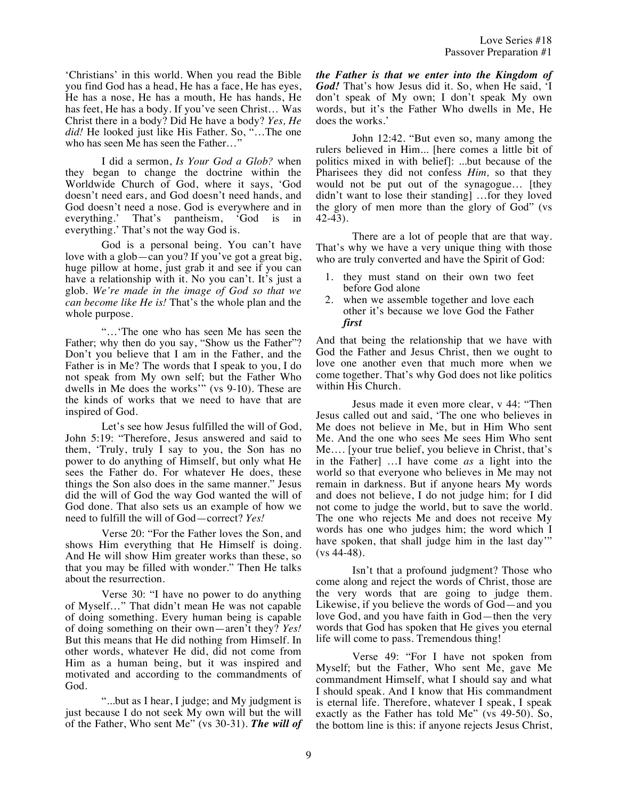'Christians' in this world. When you read the Bible you find God has a head, He has a face, He has eyes, He has a nose, He has a mouth, He has hands, He has feet, He has a body. If you've seen Christ… Was Christ there in a body? Did He have a body? *Yes, He did!* He looked just like His Father. So, "…The one who has seen Me has seen the Father...'

I did a sermon, *Is Your God a Glob?* when they began to change the doctrine within the Worldwide Church of God, where it says, 'God doesn't need ears, and God doesn't need hands, and God doesn't need a nose. God is everywhere and in everything.' That's pantheism, 'God is in everything.' That's not the way God is.

God is a personal being. You can't have love with a glob—can you? If you've got a great big, huge pillow at home, just grab it and see if you can have a relationship with it. No you can't. It's just a glob. *We're made in the image of God so that we can become like He is!* That's the whole plan and the whole purpose.

"…'The one who has seen Me has seen the Father; why then do you say, "Show us the Father"? Don't you believe that I am in the Father, and the Father is in Me? The words that I speak to you, I do not speak from My own self; but the Father Who dwells in Me does the works'" (vs 9-10). These are the kinds of works that we need to have that are inspired of God.

Let's see how Jesus fulfilled the will of God, John 5:19: "Therefore, Jesus answered and said to them, 'Truly, truly I say to you, the Son has no power to do anything of Himself, but only what He sees the Father do. For whatever He does, these things the Son also does in the same manner." Jesus did the will of God the way God wanted the will of God done. That also sets us an example of how we need to fulfill the will of God—correct? *Yes!*

Verse 20: "For the Father loves the Son, and shows Him everything that He Himself is doing. And He will show Him greater works than these, so that you may be filled with wonder." Then He talks about the resurrection.

Verse 30: "I have no power to do anything of Myself…" That didn't mean He was not capable of doing something. Every human being is capable of doing something on their own—aren't they? *Yes!* But this means that He did nothing from Himself. In other words, whatever He did, did not come from Him as a human being, but it was inspired and motivated and according to the commandments of God.

"...but as I hear, I judge; and My judgment is just because I do not seek My own will but the will of the Father, Who sent Me" (vs 30-31). *The will of*  *the Father is that we enter into the Kingdom of God!* That's how Jesus did it. So, when He said, 'I don't speak of My own; I don't speak My own words, but it's the Father Who dwells in Me, He does the works.'

John 12:42. "But even so, many among the rulers believed in Him... [here comes a little bit of politics mixed in with belief]: ...but because of the Pharisees they did not confess *Him,* so that they would not be put out of the synagogue… [they didn't want to lose their standing] …for they loved the glory of men more than the glory of God" (vs 42-43).

There are a lot of people that are that way. That's why we have a very unique thing with those who are truly converted and have the Spirit of God:

- 1. they must stand on their own two feet before God alone
- 2. when we assemble together and love each other it's because we love God the Father *first*

And that being the relationship that we have with God the Father and Jesus Christ, then we ought to love one another even that much more when we come together. That's why God does not like politics within His Church.

Jesus made it even more clear, v 44: "Then Jesus called out and said, 'The one who believes in Me does not believe in Me, but in Him Who sent Me. And the one who sees Me sees Him Who sent Me…. [your true belief, you believe in Christ, that's in the Father] …I have come *as* a light into the world so that everyone who believes in Me may not remain in darkness. But if anyone hears My words and does not believe, I do not judge him; for I did not come to judge the world, but to save the world. The one who rejects Me and does not receive My words has one who judges him; the word which I have spoken, that shall judge him in the last day" (vs 44-48).

Isn't that a profound judgment? Those who come along and reject the words of Christ, those are the very words that are going to judge them. Likewise, if you believe the words of God—and you love God, and you have faith in God—then the very words that God has spoken that He gives you eternal life will come to pass. Tremendous thing!

Verse 49: "For I have not spoken from Myself; but the Father, Who sent Me, gave Me commandment Himself, what I should say and what I should speak. And I know that His commandment is eternal life. Therefore, whatever I speak, I speak exactly as the Father has told Me" (vs 49-50). So, the bottom line is this: if anyone rejects Jesus Christ,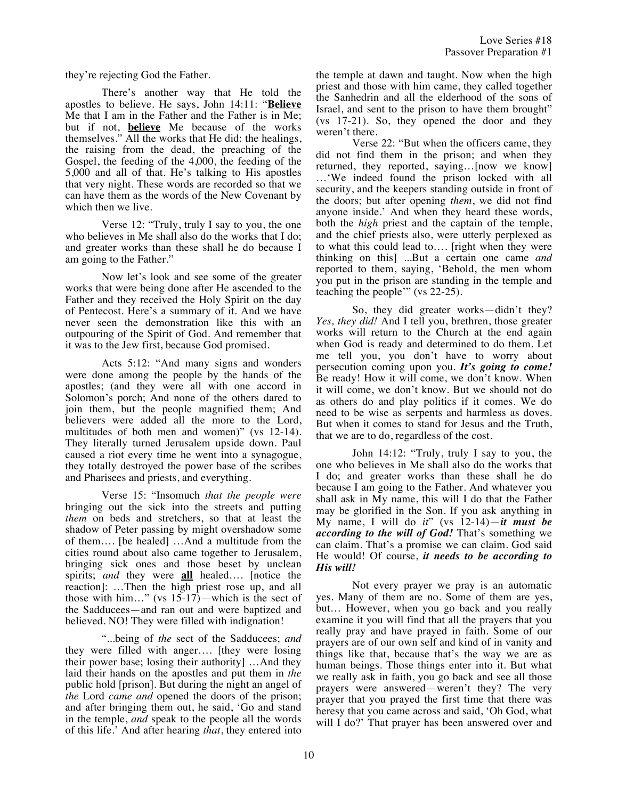they're rejecting God the Father.

There's another way that He told the apostles to believe. He says, John 14:11: "**Believe** Me that I am in the Father and the Father is in Me; but if not, **believe** Me because of the works themselves." All the works that He did: the healings, the raising from the dead, the preaching of the Gospel, the feeding of the 4,000, the feeding of the 5,000 and all of that. He's talking to His apostles that very night. These words are recorded so that we can have them as the words of the New Covenant by which then we live.

Verse 12: "Truly, truly I say to you, the one who believes in Me shall also do the works that I do; and greater works than these shall he do because I am going to the Father."

Now let's look and see some of the greater works that were being done after He ascended to the Father and they received the Holy Spirit on the day of Pentecost. Here's a summary of it. And we have never seen the demonstration like this with an outpouring of the Spirit of God. And remember that it was to the Jew first, because God promised.

Acts 5:12: "And many signs and wonders were done among the people by the hands of the apostles; (and they were all with one accord in Solomon's porch; And none of the others dared to join them, but the people magnified them; And believers were added all the more to the Lord, multitudes of both men and women)" (vs 12-14). They literally turned Jerusalem upside down. Paul caused a riot every time he went into a synagogue, they totally destroyed the power base of the scribes and Pharisees and priests, and everything.

Verse 15: "Insomuch *that the people were* bringing out the sick into the streets and putting *them* on beds and stretchers, so that at least the shadow of Peter passing by might overshadow some of them…. [be healed] …And a multitude from the cities round about also came together to Jerusalem, bringing sick ones and those beset by unclean spirits; *and* they were **all** healed…. [notice the reaction]: …Then the high priest rose up, and all those with him..." (vs  $15-17$ )—which is the sect of the Sadducees—and ran out and were baptized and believed. NO! They were filled with indignation!

"...being of *the* sect of the Sadducees; *and* they were filled with anger…. [they were losing their power base; losing their authority] …And they laid their hands on the apostles and put them in *the* public hold [prison]. But during the night an angel of *the* Lord *came and* opened the doors of the prison; and after bringing them out, he said, 'Go and stand in the temple, *and* speak to the people all the words of this life.' And after hearing *that*, they entered into the temple at dawn and taught. Now when the high priest and those with him came, they called together the Sanhedrin and all the elderhood of the sons of Israel, and sent to the prison to have them brought" (vs 17-21). So, they opened the door and they weren't there.

Verse 22: "But when the officers came, they did not find them in the prison; and when they returned, they reported, saying…[now we know] …'We indeed found the prison locked with all security, and the keepers standing outside in front of the doors; but after opening *them*, we did not find anyone inside.' And when they heard these words, both the *high* priest and the captain of the temple, and the chief priests also, were utterly perplexed as to what this could lead to…. [right when they were thinking on this] ...But a certain one came *and* reported to them, saying, 'Behold, the men whom you put in the prison are standing in the temple and teaching the people'" (vs 22-25).

So, they did greater works—didn't they? *Yes, they did!* And I tell you, brethren, those greater works will return to the Church at the end again when God is ready and determined to do them. Let me tell you, you don't have to worry about persecution coming upon you. *It's going to come!* Be ready! How it will come, we don't know. When it will come, we don't know. But we should not do as others do and play politics if it comes. We do need to be wise as serpents and harmless as doves. But when it comes to stand for Jesus and the Truth, that we are to do, regardless of the cost.

John 14:12: "Truly, truly I say to you, the one who believes in Me shall also do the works that I do; and greater works than these shall he do because I am going to the Father. And whatever you shall ask in My name, this will I do that the Father may be glorified in the Son. If you ask anything in My name, I will do *it*" (vs 12-14)—*it must be according to the will of God!* That's something we can claim. That's a promise we can claim. God said He would! Of course, *it needs to be according to His will!*

Not every prayer we pray is an automatic yes. Many of them are no. Some of them are yes, but… However, when you go back and you really examine it you will find that all the prayers that you really pray and have prayed in faith. Some of our prayers are of our own self and kind of in vanity and things like that, because that's the way we are as human beings. Those things enter into it. But what we really ask in faith, you go back and see all those prayers were answered—weren't they? The very prayer that you prayed the first time that there was heresy that you came across and said, 'Oh God, what will I do?' That prayer has been answered over and